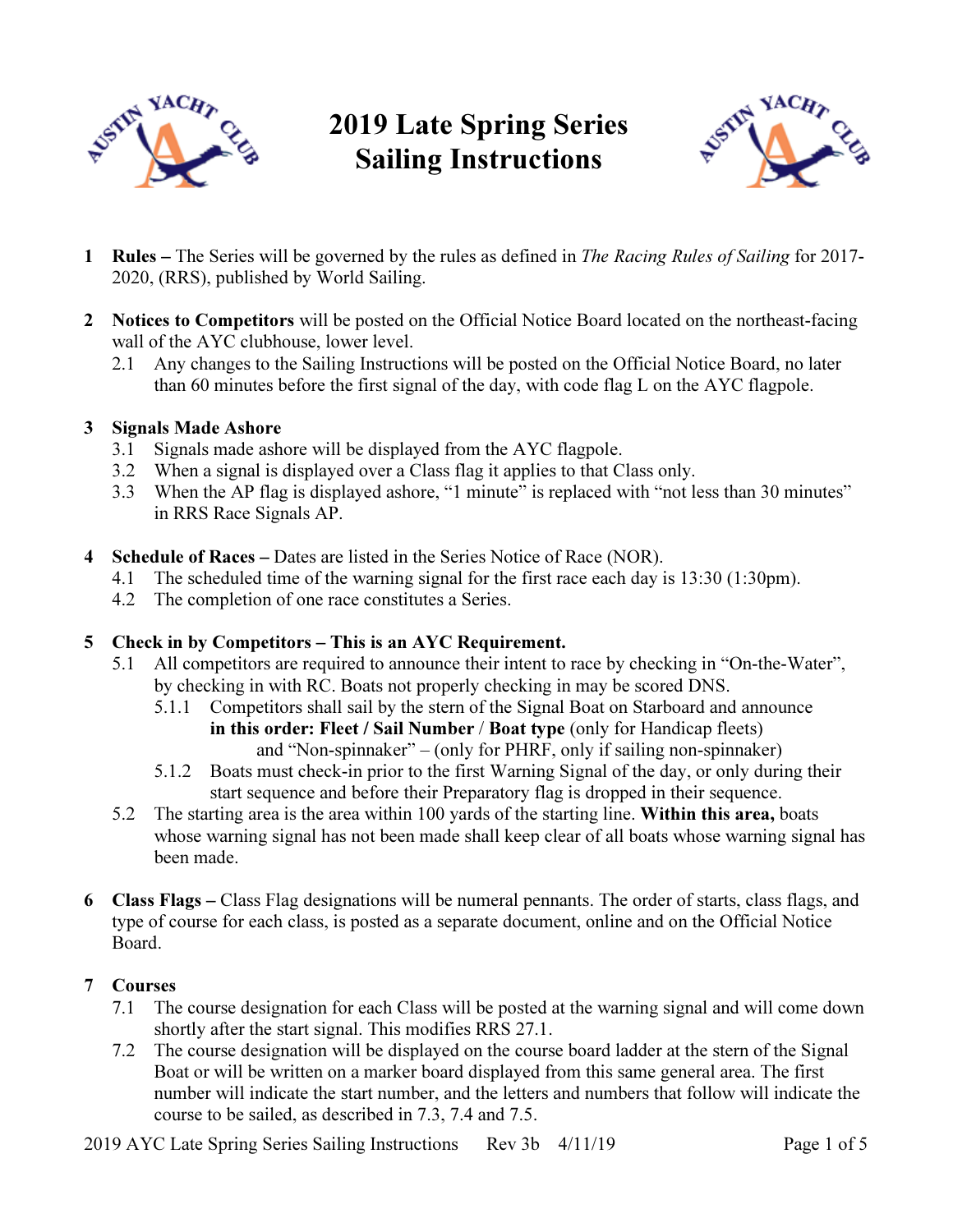

# 2019 Late Spring Series Sailing Instructions



- 1 Rules The Series will be governed by the rules as defined in The Racing Rules of Sailing for 2017- 2020, (RRS), published by World Sailing.
- 2 Notices to Competitors will be posted on the Official Notice Board located on the northeast-facing wall of the AYC clubhouse, lower level.
	- 2.1 Any changes to the Sailing Instructions will be posted on the Official Notice Board, no later than 60 minutes before the first signal of the day, with code flag L on the AYC flagpole.

## 3 Signals Made Ashore

- 3.1 Signals made ashore will be displayed from the AYC flagpole.
- 3.2 When a signal is displayed over a Class flag it applies to that Class only.
- 3.3 When the AP flag is displayed ashore, "1 minute" is replaced with "not less than 30 minutes" in RRS Race Signals AP.
- 4 Schedule of Races Dates are listed in the Series Notice of Race (NOR).
	- 4.1 The scheduled time of the warning signal for the first race each day is 13:30 (1:30pm).
	- 4.2 The completion of one race constitutes a Series.

# 5 Check in by Competitors – This is an AYC Requirement.

- 5.1 All competitors are required to announce their intent to race by checking in "On-the-Water", by checking in with RC. Boats not properly checking in may be scored DNS.
	- 5.1.1 Competitors shall sail by the stern of the Signal Boat on Starboard and announce in this order: Fleet / Sail Number / Boat type (only for Handicap fleets) and "Non-spinnaker" – (only for PHRF, only if sailing non-spinnaker)
	- 5.1.2 Boats must check-in prior to the first Warning Signal of the day, or only during their start sequence and before their Preparatory flag is dropped in their sequence.
- 5.2 The starting area is the area within 100 yards of the starting line. Within this area, boats whose warning signal has not been made shall keep clear of all boats whose warning signal has been made.
- 6 Class Flags Class Flag designations will be numeral pennants. The order of starts, class flags, and type of course for each class, is posted as a separate document, online and on the Official Notice Board.

# 7 Courses

- 7.1 The course designation for each Class will be posted at the warning signal and will come down shortly after the start signal. This modifies RRS 27.1.
- 7.2 The course designation will be displayed on the course board ladder at the stern of the Signal Boat or will be written on a marker board displayed from this same general area. The first number will indicate the start number, and the letters and numbers that follow will indicate the course to be sailed, as described in 7.3, 7.4 and 7.5.

2019 AYC Late Spring Series Sailing Instructions Rev 3b 4/11/19 Page 1 of 5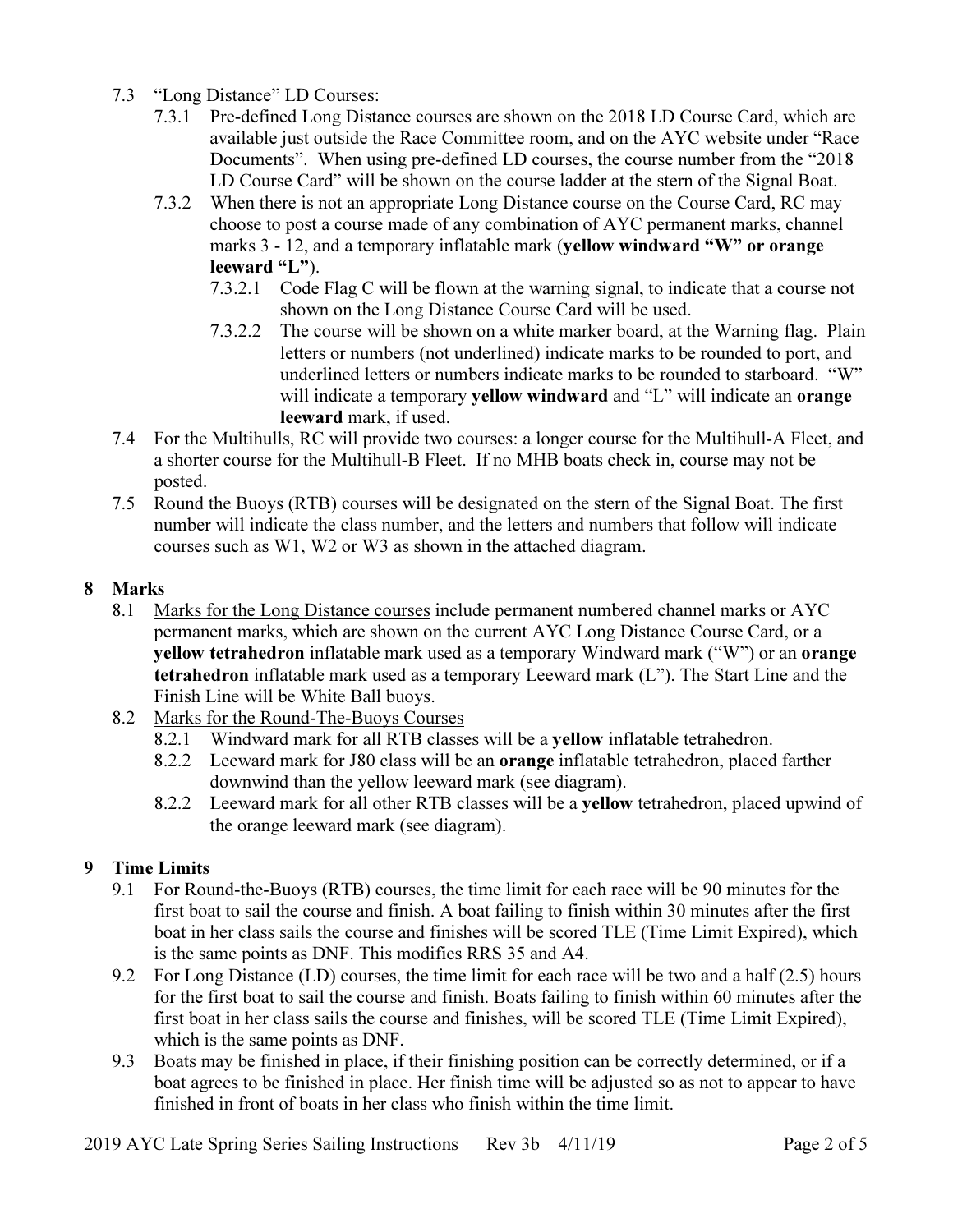- 7.3 "Long Distance" LD Courses:
	- 7.3.1 Pre-defined Long Distance courses are shown on the 2018 LD Course Card, which are available just outside the Race Committee room, and on the AYC website under "Race Documents". When using pre-defined LD courses, the course number from the "2018 LD Course Card" will be shown on the course ladder at the stern of the Signal Boat.
	- 7.3.2 When there is not an appropriate Long Distance course on the Course Card, RC may choose to post a course made of any combination of AYC permanent marks, channel marks 3 - 12, and a temporary inflatable mark (yellow windward "W" or orange leeward "L").
		- 7.3.2.1 Code Flag C will be flown at the warning signal, to indicate that a course not shown on the Long Distance Course Card will be used.
		- 7.3.2.2 The course will be shown on a white marker board, at the Warning flag. Plain letters or numbers (not underlined) indicate marks to be rounded to port, and underlined letters or numbers indicate marks to be rounded to starboard. "W" will indicate a temporary **yellow windward** and "L" will indicate an **orange** leeward mark, if used.
- 7.4 For the Multihulls, RC will provide two courses: a longer course for the Multihull-A Fleet, and a shorter course for the Multihull-B Fleet. If no MHB boats check in, course may not be posted.
- 7.5 Round the Buoys (RTB) courses will be designated on the stern of the Signal Boat. The first number will indicate the class number, and the letters and numbers that follow will indicate courses such as W1, W2 or W3 as shown in the attached diagram.

## 8 Marks

- 8.1 Marks for the Long Distance courses include permanent numbered channel marks or AYC permanent marks, which are shown on the current AYC Long Distance Course Card, or a yellow tetrahedron inflatable mark used as a temporary Windward mark ("W") or an orange tetrahedron inflatable mark used as a temporary Leeward mark (L"). The Start Line and the Finish Line will be White Ball buoys.
- 8.2 Marks for the Round-The-Buoys Courses
	- 8.2.1 Windward mark for all RTB classes will be a yellow inflatable tetrahedron.
	- 8.2.2 Leeward mark for J80 class will be an orange inflatable tetrahedron, placed farther downwind than the yellow leeward mark (see diagram).
	- 8.2.2 Leeward mark for all other RTB classes will be a yellow tetrahedron, placed upwind of the orange leeward mark (see diagram).

# 9 Time Limits

- 9.1 For Round-the-Buoys (RTB) courses, the time limit for each race will be 90 minutes for the first boat to sail the course and finish. A boat failing to finish within 30 minutes after the first boat in her class sails the course and finishes will be scored TLE (Time Limit Expired), which is the same points as DNF. This modifies RRS 35 and A4.
- 9.2 For Long Distance (LD) courses, the time limit for each race will be two and a half (2.5) hours for the first boat to sail the course and finish. Boats failing to finish within 60 minutes after the first boat in her class sails the course and finishes, will be scored TLE (Time Limit Expired), which is the same points as DNF.
- 9.3 Boats may be finished in place, if their finishing position can be correctly determined, or if a boat agrees to be finished in place. Her finish time will be adjusted so as not to appear to have finished in front of boats in her class who finish within the time limit.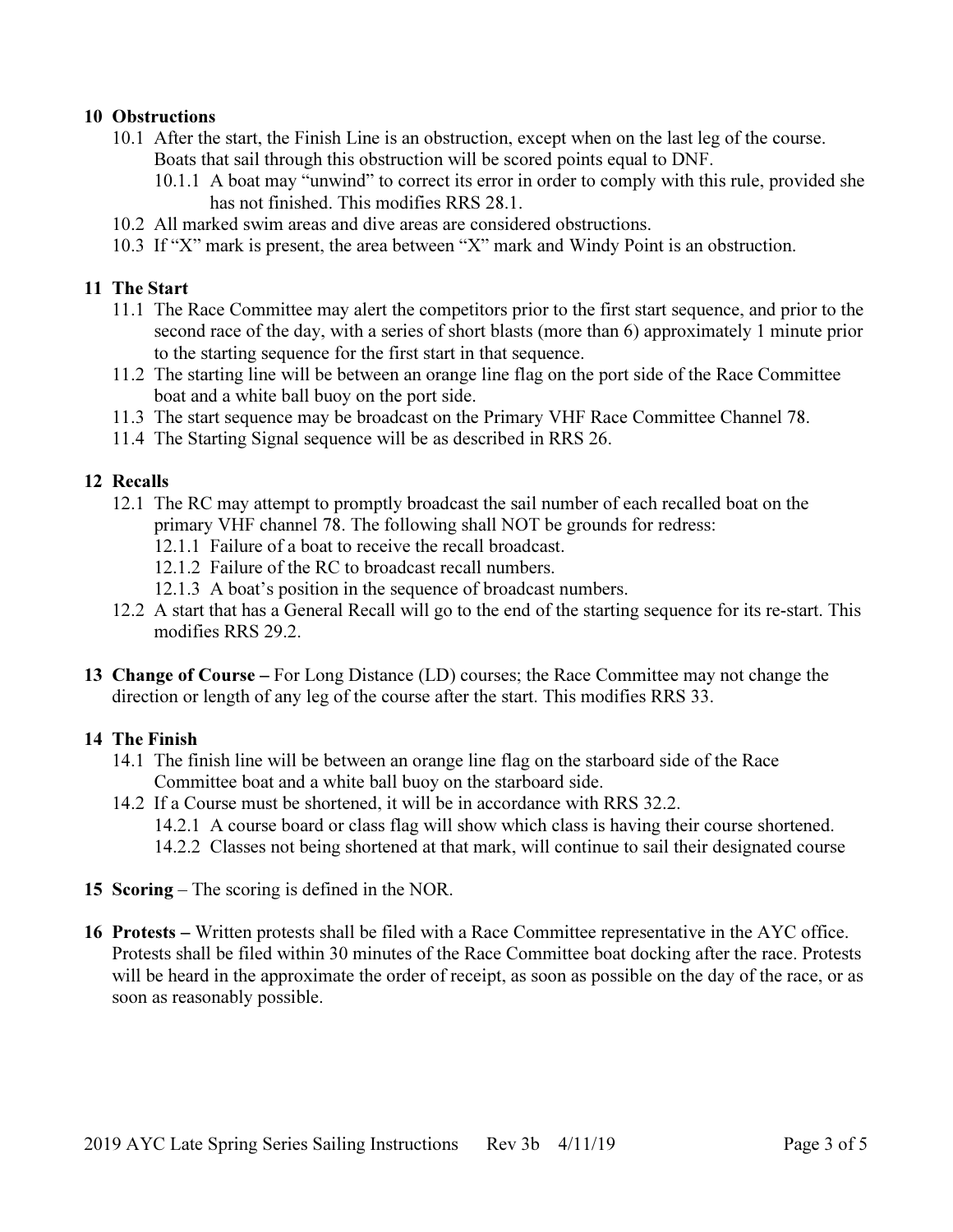### 10 Obstructions

- 10.1 After the start, the Finish Line is an obstruction, except when on the last leg of the course. Boats that sail through this obstruction will be scored points equal to DNF.
	- 10.1.1 A boat may "unwind" to correct its error in order to comply with this rule, provided she has not finished. This modifies RRS 28.1.
- 10.2 All marked swim areas and dive areas are considered obstructions.
- 10.3 If "X" mark is present, the area between "X" mark and Windy Point is an obstruction.

### 11 The Start

- 11.1 The Race Committee may alert the competitors prior to the first start sequence, and prior to the second race of the day, with a series of short blasts (more than 6) approximately 1 minute prior to the starting sequence for the first start in that sequence.
- 11.2 The starting line will be between an orange line flag on the port side of the Race Committee boat and a white ball buoy on the port side.
- 11.3 The start sequence may be broadcast on the Primary VHF Race Committee Channel 78.
- 11.4 The Starting Signal sequence will be as described in RRS 26.

#### 12 Recalls

- 12.1 The RC may attempt to promptly broadcast the sail number of each recalled boat on the primary VHF channel 78. The following shall NOT be grounds for redress:
	- 12.1.1 Failure of a boat to receive the recall broadcast.
	- 12.1.2 Failure of the RC to broadcast recall numbers.
	- 12.1.3 A boat's position in the sequence of broadcast numbers.
- 12.2 A start that has a General Recall will go to the end of the starting sequence for its re-start. This modifies RRS 29.2.
- 13 Change of Course For Long Distance (LD) courses; the Race Committee may not change the direction or length of any leg of the course after the start. This modifies RRS 33.

#### 14 The Finish

- 14.1 The finish line will be between an orange line flag on the starboard side of the Race Committee boat and a white ball buoy on the starboard side.
- 14.2 If a Course must be shortened, it will be in accordance with RRS 32.2.
	- 14.2.1 A course board or class flag will show which class is having their course shortened.
	- 14.2.2 Classes not being shortened at that mark, will continue to sail their designated course
- 15 Scoring The scoring is defined in the NOR.
- 16 Protests Written protests shall be filed with a Race Committee representative in the AYC office. Protests shall be filed within 30 minutes of the Race Committee boat docking after the race. Protests will be heard in the approximate the order of receipt, as soon as possible on the day of the race, or as soon as reasonably possible.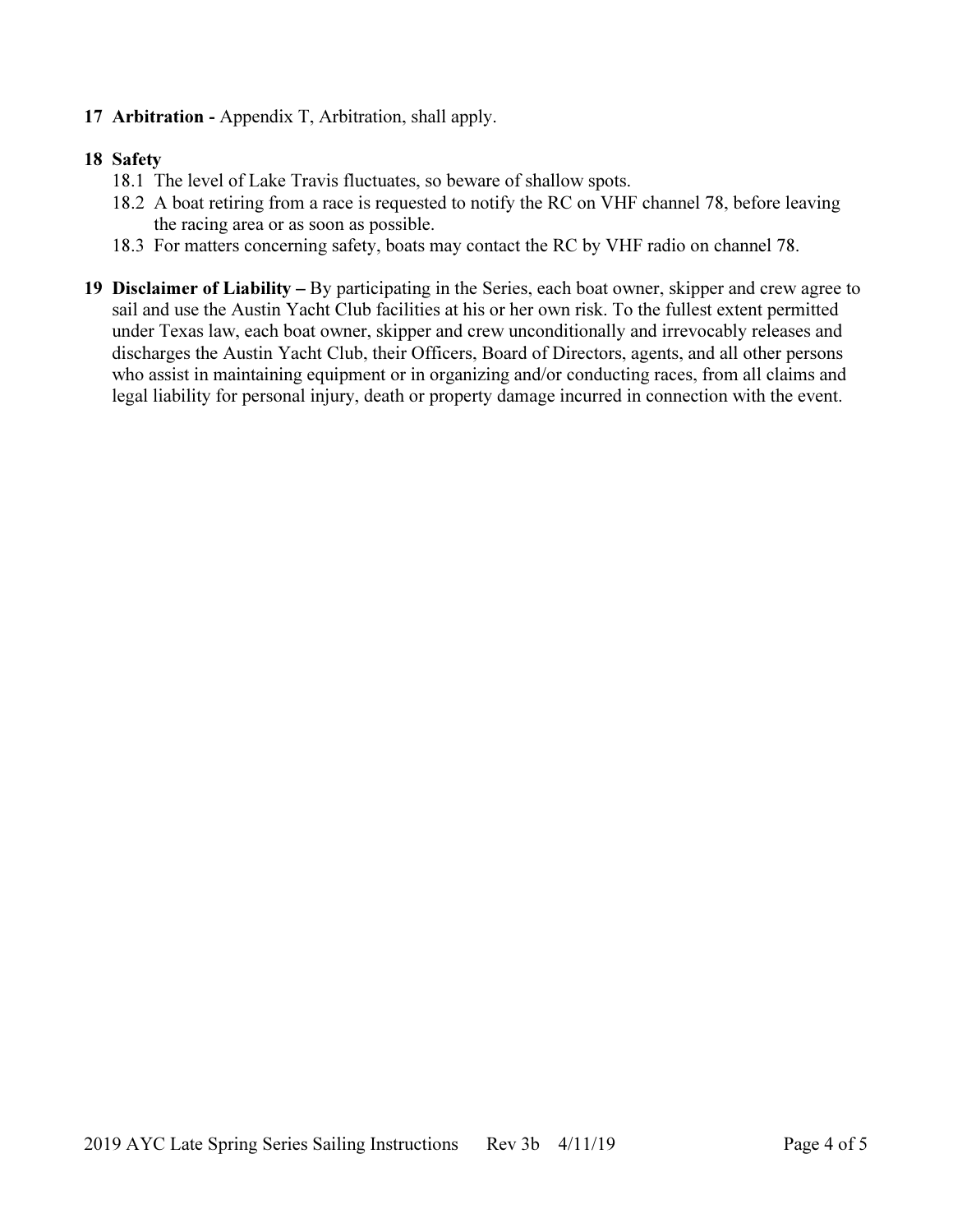## 17 Arbitration - Appendix T, Arbitration, shall apply.

### 18 Safety

- 18.1 The level of Lake Travis fluctuates, so beware of shallow spots.
- 18.2 A boat retiring from a race is requested to notify the RC on VHF channel 78, before leaving the racing area or as soon as possible.
- 18.3 For matters concerning safety, boats may contact the RC by VHF radio on channel 78.
- 19 Disclaimer of Liability By participating in the Series, each boat owner, skipper and crew agree to sail and use the Austin Yacht Club facilities at his or her own risk. To the fullest extent permitted under Texas law, each boat owner, skipper and crew unconditionally and irrevocably releases and discharges the Austin Yacht Club, their Officers, Board of Directors, agents, and all other persons who assist in maintaining equipment or in organizing and/or conducting races, from all claims and legal liability for personal injury, death or property damage incurred in connection with the event.